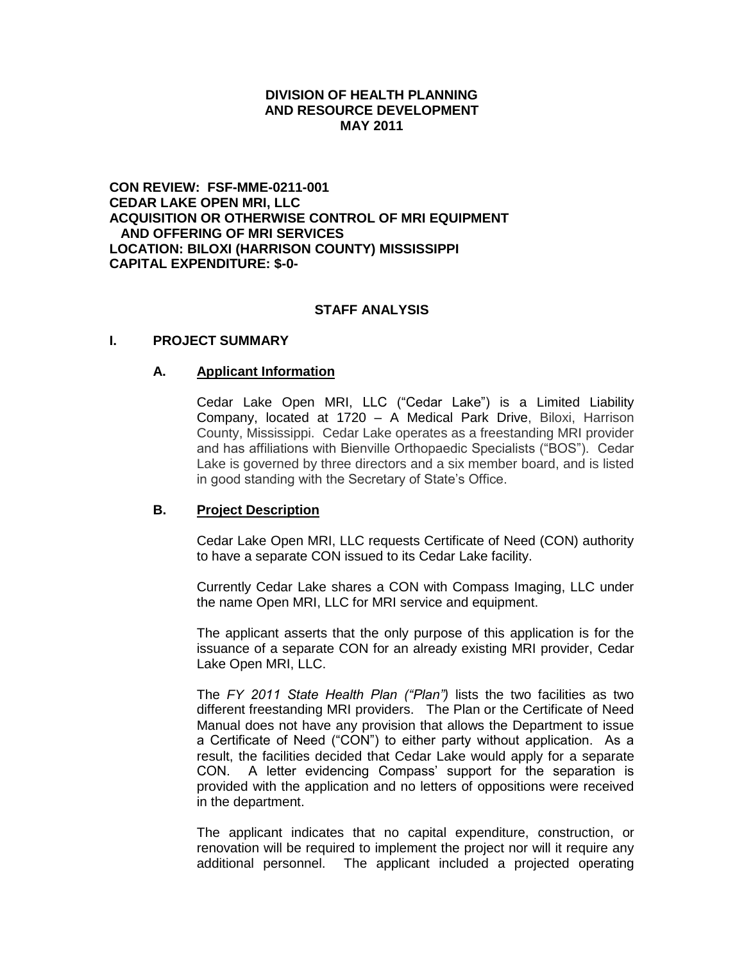### **DIVISION OF HEALTH PLANNING AND RESOURCE DEVELOPMENT MAY 2011**

**CON REVIEW: FSF-MME-0211-001 CEDAR LAKE OPEN MRI, LLC ACQUISITION OR OTHERWISE CONTROL OF MRI EQUIPMENT AND OFFERING OF MRI SERVICES LOCATION: BILOXI (HARRISON COUNTY) MISSISSIPPI CAPITAL EXPENDITURE: \$-0-**

### **STAFF ANALYSIS**

### **I. PROJECT SUMMARY**

#### **A. Applicant Information**

Cedar Lake Open MRI, LLC ("Cedar Lake") is a Limited Liability Company, located at 1720 – A Medical Park Drive, Biloxi, Harrison County, Mississippi. Cedar Lake operates as a freestanding MRI provider and has affiliations with Bienville Orthopaedic Specialists ("BOS"). Cedar Lake is governed by three directors and a six member board, and is listed in good standing with the Secretary of State's Office.

### **B. Project Description**

Cedar Lake Open MRI, LLC requests Certificate of Need (CON) authority to have a separate CON issued to its Cedar Lake facility.

Currently Cedar Lake shares a CON with Compass Imaging, LLC under the name Open MRI, LLC for MRI service and equipment.

The applicant asserts that the only purpose of this application is for the issuance of a separate CON for an already existing MRI provider, Cedar Lake Open MRI, LLC.

The *FY 2011 State Health Plan ("Plan")* lists the two facilities as two different freestanding MRI providers. The Plan or the Certificate of Need Manual does not have any provision that allows the Department to issue a Certificate of Need ("CON") to either party without application. As a result, the facilities decided that Cedar Lake would apply for a separate CON. A letter evidencing Compass' support for the separation is provided with the application and no letters of oppositions were received in the department.

The applicant indicates that no capital expenditure, construction, or renovation will be required to implement the project nor will it require any additional personnel. The applicant included a projected operating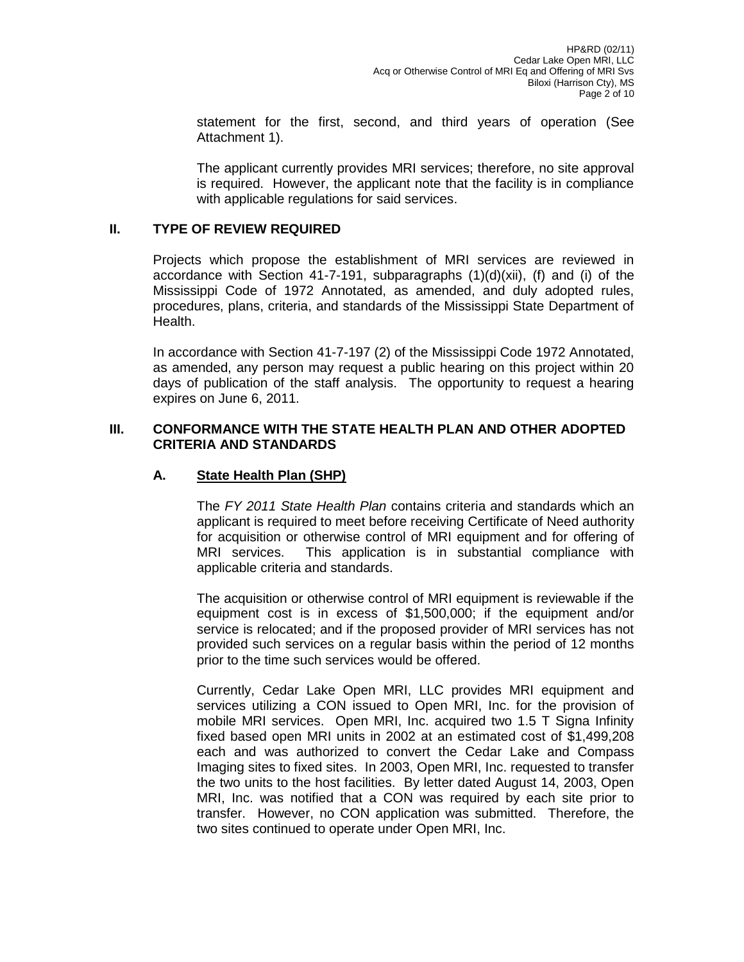statement for the first, second, and third years of operation (See Attachment 1).

The applicant currently provides MRI services; therefore, no site approval is required. However, the applicant note that the facility is in compliance with applicable regulations for said services.

## **II. TYPE OF REVIEW REQUIRED**

Projects which propose the establishment of MRI services are reviewed in accordance with Section 41-7-191, subparagraphs  $(1)(d)(xii)$ ,  $(f)$  and  $(i)$  of the Mississippi Code of 1972 Annotated, as amended, and duly adopted rules, procedures, plans, criteria, and standards of the Mississippi State Department of Health.

In accordance with Section 41-7-197 (2) of the Mississippi Code 1972 Annotated, as amended, any person may request a public hearing on this project within 20 days of publication of the staff analysis. The opportunity to request a hearing expires on June 6, 2011.

### **III. CONFORMANCE WITH THE STATE HEALTH PLAN AND OTHER ADOPTED CRITERIA AND STANDARDS**

## **A. State Health Plan (SHP)**

The *FY 2011 State Health Plan* contains criteria and standards which an applicant is required to meet before receiving Certificate of Need authority for acquisition or otherwise control of MRI equipment and for offering of MRI services. This application is in substantial compliance with applicable criteria and standards.

The acquisition or otherwise control of MRI equipment is reviewable if the equipment cost is in excess of \$1,500,000; if the equipment and/or service is relocated; and if the proposed provider of MRI services has not provided such services on a regular basis within the period of 12 months prior to the time such services would be offered.

Currently, Cedar Lake Open MRI, LLC provides MRI equipment and services utilizing a CON issued to Open MRI, Inc. for the provision of mobile MRI services. Open MRI, Inc. acquired two 1.5 T Signa Infinity fixed based open MRI units in 2002 at an estimated cost of \$1,499,208 each and was authorized to convert the Cedar Lake and Compass Imaging sites to fixed sites. In 2003, Open MRI, Inc. requested to transfer the two units to the host facilities. By letter dated August 14, 2003, Open MRI, Inc. was notified that a CON was required by each site prior to transfer. However, no CON application was submitted. Therefore, the two sites continued to operate under Open MRI, Inc.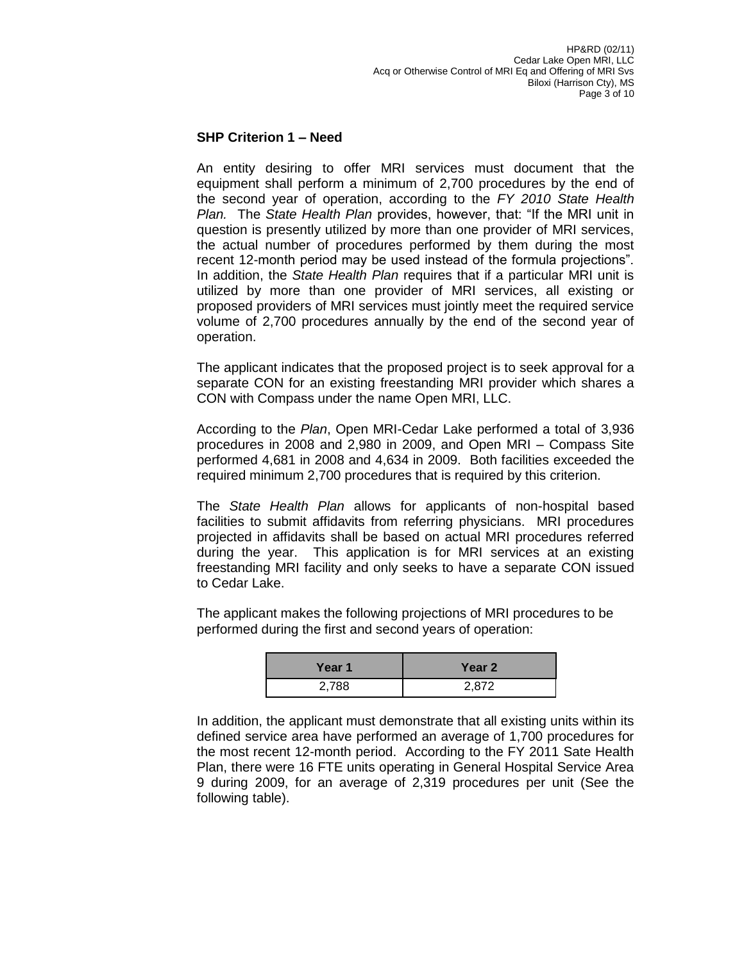## **SHP Criterion 1 – Need**

An entity desiring to offer MRI services must document that the equipment shall perform a minimum of 2,700 procedures by the end of the second year of operation, according to the *FY 2010 State Health Plan.* The *State Health Plan* provides, however, that: "If the MRI unit in question is presently utilized by more than one provider of MRI services, the actual number of procedures performed by them during the most recent 12-month period may be used instead of the formula projections". In addition, the *State Health Plan* requires that if a particular MRI unit is utilized by more than one provider of MRI services, all existing or proposed providers of MRI services must jointly meet the required service volume of 2,700 procedures annually by the end of the second year of operation.

The applicant indicates that the proposed project is to seek approval for a separate CON for an existing freestanding MRI provider which shares a CON with Compass under the name Open MRI, LLC.

According to the *Plan*, Open MRI-Cedar Lake performed a total of 3,936 procedures in 2008 and 2,980 in 2009, and Open MRI – Compass Site performed 4,681 in 2008 and 4,634 in 2009. Both facilities exceeded the required minimum 2,700 procedures that is required by this criterion.

The *State Health Plan* allows for applicants of non-hospital based facilities to submit affidavits from referring physicians. MRI procedures projected in affidavits shall be based on actual MRI procedures referred during the year. This application is for MRI services at an existing freestanding MRI facility and only seeks to have a separate CON issued to Cedar Lake.

The applicant makes the following projections of MRI procedures to be performed during the first and second years of operation:

| Year 1 | Year 2 |
|--------|--------|
| 2,788  | 2,872  |

In addition, the applicant must demonstrate that all existing units within its defined service area have performed an average of 1,700 procedures for the most recent 12-month period. According to the FY 2011 Sate Health Plan, there were 16 FTE units operating in General Hospital Service Area 9 during 2009, for an average of 2,319 procedures per unit (See the following table).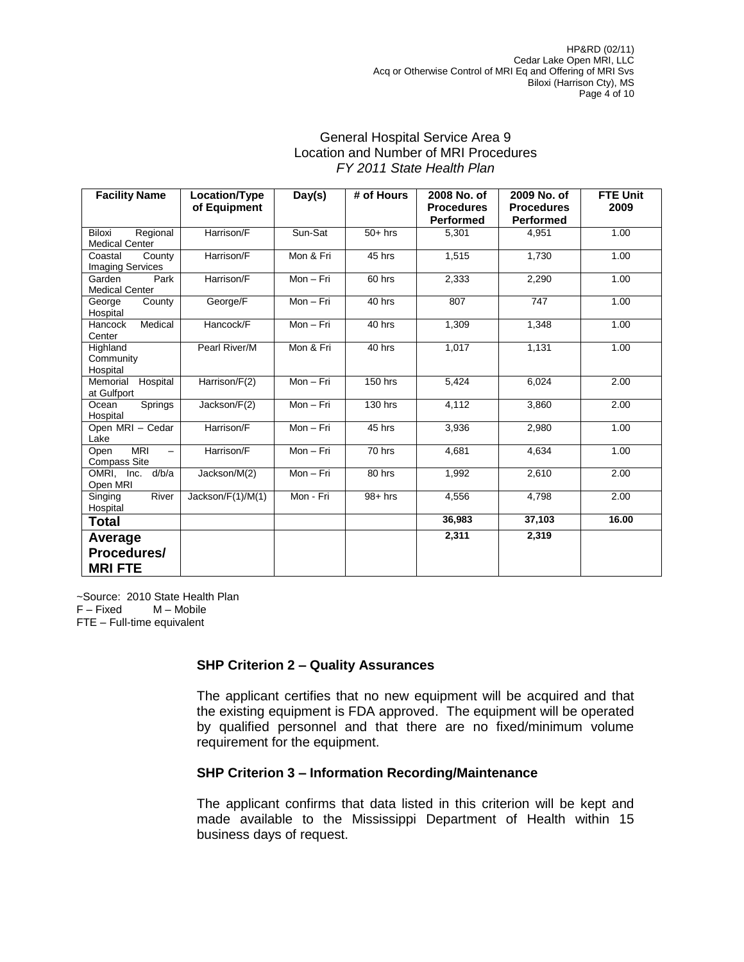### General Hospital Service Area 9 Location and Number of MRI Procedures *FY 2011 State Health Plan*

| <b>Facility Name</b>                                                  | Location/Type<br>of Equipment | Day(s)    | # of Hours     | 2008 No. of<br><b>Procedures</b><br><b>Performed</b> | 2009 No. of<br><b>Procedures</b><br><b>Performed</b> | <b>FTE Unit</b><br>2009 |
|-----------------------------------------------------------------------|-------------------------------|-----------|----------------|------------------------------------------------------|------------------------------------------------------|-------------------------|
| <b>Biloxi</b><br>Regional<br><b>Medical Center</b>                    | Harrison/F                    | Sun-Sat   | $50+$ hrs      | 5,301                                                | 4.951                                                | 1.00                    |
| County<br>Coastal<br><b>Imaging Services</b>                          | Harrison/F                    | Mon & Fri | 45 hrs         | 1,515                                                | 1,730                                                | 1.00                    |
| Park<br>Garden<br><b>Medical Center</b>                               | Harrison/F                    | Mon-Fri   | 60 hrs         | 2,333                                                | 2,290                                                | 1.00                    |
| County<br>George<br>Hospital                                          | George/F                      | $Mon-Fri$ | 40 hrs         | 807                                                  | 747                                                  | 1.00                    |
| Medical<br>Hancock<br>Center                                          | Hancock/F                     | Mon - Fri | 40 hrs         | 1,309                                                | 1,348                                                | 1.00                    |
| Highland<br>Community<br>Hospital                                     | Pearl River/M                 | Mon & Fri | 40 hrs         | 1,017                                                | 1,131                                                | 1.00                    |
| Memorial<br>Hospital<br>at Gulfport                                   | Harrison/F(2)                 | Mon-Fri   | <b>150 hrs</b> | 5,424                                                | 6,024                                                | 2.00                    |
| Springs<br>Ocean<br>Hospital                                          | Jackson/F(2)                  | Mon-Fri   | 130 hrs        | 4,112                                                | 3,860                                                | 2.00                    |
| Open MRI - Cedar<br>Lake                                              | Harrison/F                    | Mon-Fri   | 45 hrs         | 3.936                                                | 2.980                                                | 1.00                    |
| <b>MRI</b><br>Open<br>$\overline{\phantom{0}}$<br><b>Compass Site</b> | Harrison/F                    | Mon - Fri | 70 hrs         | 4,681                                                | 4,634                                                | 1.00                    |
| d/b/a<br>OMRI. Inc.<br>Open MRI                                       | Jackson/M(2)                  | $Mon-Fri$ | 80 hrs         | 1,992                                                | 2,610                                                | 2.00                    |
| River<br>Singing<br>Hospital                                          | Jackson/F(1)/M(1)             | Mon - Fri | $98+$ hrs      | 4,556                                                | 4,798                                                | 2.00                    |
| <b>Total</b>                                                          |                               |           |                | 36,983                                               | 37,103                                               | 16.00                   |
| Average<br>Procedures/<br><b>MRIFTE</b>                               |                               |           |                | 2,311                                                | 2,319                                                |                         |

~Source: 2010 State Health Plan F – Fixed M – Mobile FTE – Full-time equivalent

### **SHP Criterion 2 – Quality Assurances**

The applicant certifies that no new equipment will be acquired and that the existing equipment is FDA approved. The equipment will be operated by qualified personnel and that there are no fixed/minimum volume requirement for the equipment.

### **SHP Criterion 3 – Information Recording/Maintenance**

The applicant confirms that data listed in this criterion will be kept and made available to the Mississippi Department of Health within 15 business days of request.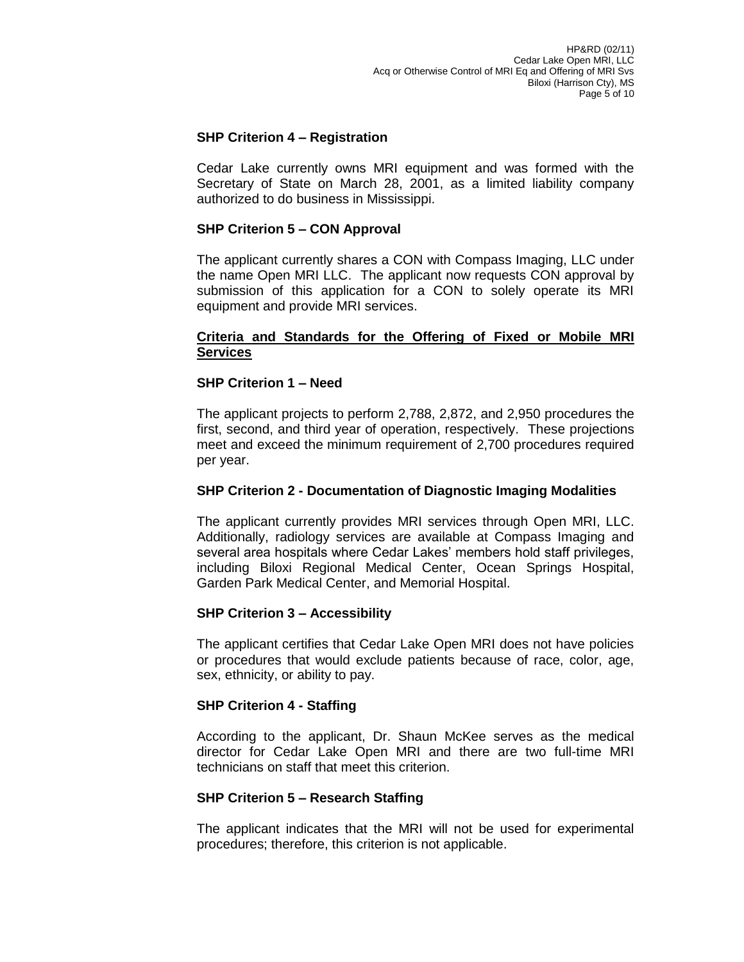# **SHP Criterion 4 – Registration**

Cedar Lake currently owns MRI equipment and was formed with the Secretary of State on March 28, 2001, as a limited liability company authorized to do business in Mississippi.

## **SHP Criterion 5 – CON Approval**

The applicant currently shares a CON with Compass Imaging, LLC under the name Open MRI LLC. The applicant now requests CON approval by submission of this application for a CON to solely operate its MRI equipment and provide MRI services.

### **Criteria and Standards for the Offering of Fixed or Mobile MRI Services**

## **SHP Criterion 1 – Need**

The applicant projects to perform 2,788, 2,872, and 2,950 procedures the first, second, and third year of operation, respectively. These projections meet and exceed the minimum requirement of 2,700 procedures required per year.

### **SHP Criterion 2 - Documentation of Diagnostic Imaging Modalities**

The applicant currently provides MRI services through Open MRI, LLC. Additionally, radiology services are available at Compass Imaging and several area hospitals where Cedar Lakes' members hold staff privileges, including Biloxi Regional Medical Center, Ocean Springs Hospital, Garden Park Medical Center, and Memorial Hospital.

### **SHP Criterion 3 – Accessibility**

The applicant certifies that Cedar Lake Open MRI does not have policies or procedures that would exclude patients because of race, color, age, sex, ethnicity, or ability to pay.

### **SHP Criterion 4 - Staffing**

According to the applicant, Dr. Shaun McKee serves as the medical director for Cedar Lake Open MRI and there are two full-time MRI technicians on staff that meet this criterion.

### **SHP Criterion 5 – Research Staffing**

The applicant indicates that the MRI will not be used for experimental procedures; therefore, this criterion is not applicable.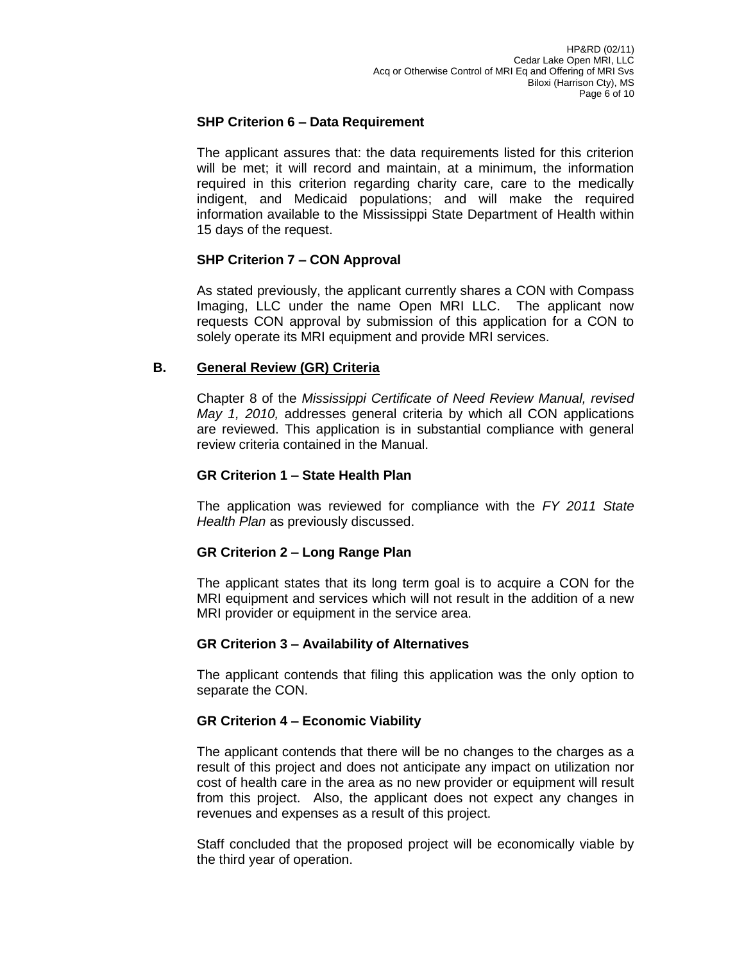## **SHP Criterion 6 – Data Requirement**

The applicant assures that: the data requirements listed for this criterion will be met; it will record and maintain, at a minimum, the information required in this criterion regarding charity care, care to the medically indigent, and Medicaid populations; and will make the required information available to the Mississippi State Department of Health within 15 days of the request.

# **SHP Criterion 7 – CON Approval**

As stated previously, the applicant currently shares a CON with Compass Imaging, LLC under the name Open MRI LLC. The applicant now requests CON approval by submission of this application for a CON to solely operate its MRI equipment and provide MRI services.

# **B. General Review (GR) Criteria**

Chapter 8 of the *Mississippi Certificate of Need Review Manual, revised May 1, 2010,* addresses general criteria by which all CON applications are reviewed. This application is in substantial compliance with general review criteria contained in the Manual.

# **GR Criterion 1 – State Health Plan**

The application was reviewed for compliance with the *FY 2011 State Health Plan* as previously discussed.

# **GR Criterion 2 – Long Range Plan**

The applicant states that its long term goal is to acquire a CON for the MRI equipment and services which will not result in the addition of a new MRI provider or equipment in the service area.

# **GR Criterion 3 – Availability of Alternatives**

The applicant contends that filing this application was the only option to separate the CON.

# **GR Criterion 4 – Economic Viability**

The applicant contends that there will be no changes to the charges as a result of this project and does not anticipate any impact on utilization nor cost of health care in the area as no new provider or equipment will result from this project. Also, the applicant does not expect any changes in revenues and expenses as a result of this project.

Staff concluded that the proposed project will be economically viable by the third year of operation.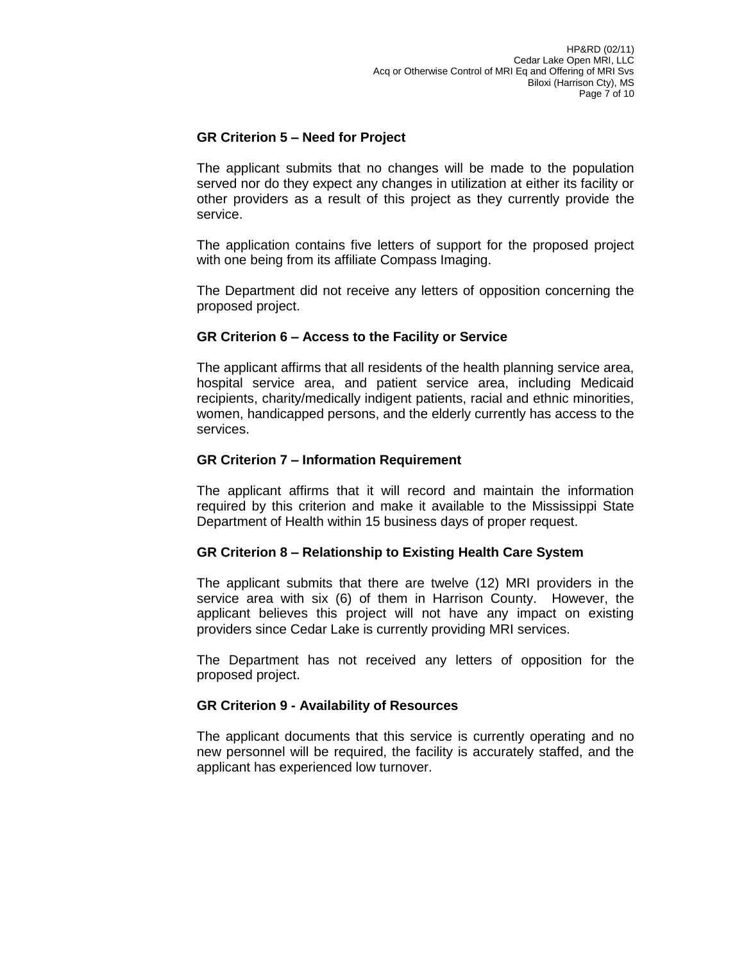# **GR Criterion 5 – Need for Project**

The applicant submits that no changes will be made to the population served nor do they expect any changes in utilization at either its facility or other providers as a result of this project as they currently provide the service.

The application contains five letters of support for the proposed project with one being from its affiliate Compass Imaging.

The Department did not receive any letters of opposition concerning the proposed project.

### **GR Criterion 6 – Access to the Facility or Service**

The applicant affirms that all residents of the health planning service area, hospital service area, and patient service area, including Medicaid recipients, charity/medically indigent patients, racial and ethnic minorities, women, handicapped persons, and the elderly currently has access to the services.

### **GR Criterion 7 – Information Requirement**

The applicant affirms that it will record and maintain the information required by this criterion and make it available to the Mississippi State Department of Health within 15 business days of proper request.

### **GR Criterion 8 – Relationship to Existing Health Care System**

The applicant submits that there are twelve (12) MRI providers in the service area with six (6) of them in Harrison County. However, the applicant believes this project will not have any impact on existing providers since Cedar Lake is currently providing MRI services.

The Department has not received any letters of opposition for the proposed project.

### **GR Criterion 9 - Availability of Resources**

The applicant documents that this service is currently operating and no new personnel will be required, the facility is accurately staffed, and the applicant has experienced low turnover.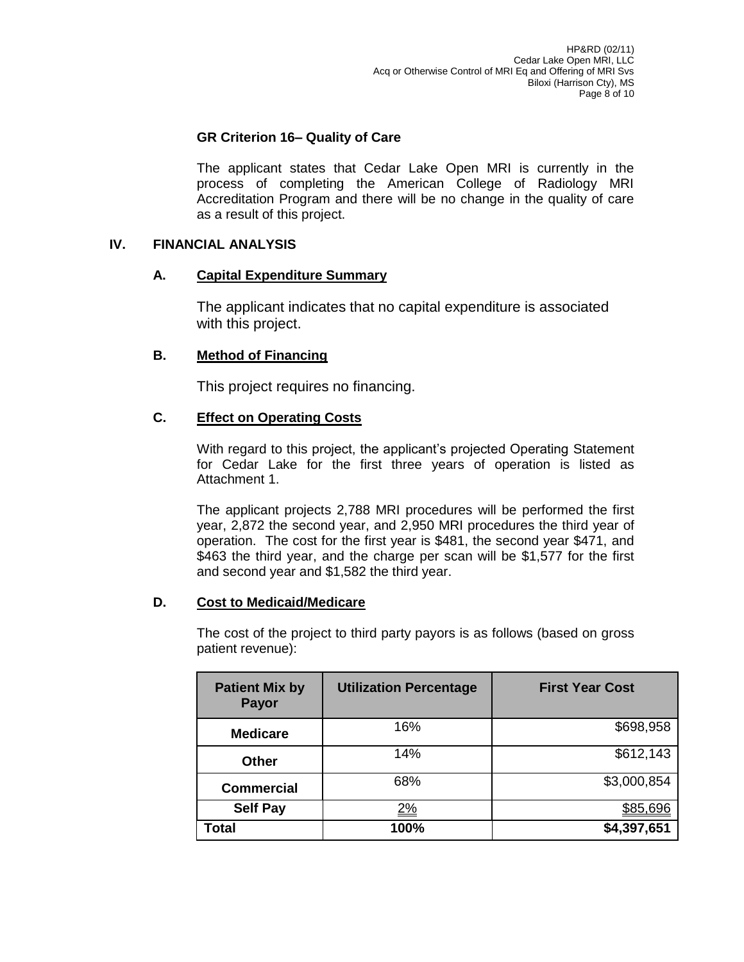# **GR Criterion 16– Quality of Care**

The applicant states that Cedar Lake Open MRI is currently in the process of completing the American College of Radiology MRI Accreditation Program and there will be no change in the quality of care as a result of this project.

## **IV. FINANCIAL ANALYSIS**

## **A. Capital Expenditure Summary**

The applicant indicates that no capital expenditure is associated with this project.

# **B. Method of Financing**

This project requires no financing.

## **C. Effect on Operating Costs**

With regard to this project, the applicant's projected Operating Statement for Cedar Lake for the first three years of operation is listed as Attachment 1.

The applicant projects 2,788 MRI procedures will be performed the first year, 2,872 the second year, and 2,950 MRI procedures the third year of operation. The cost for the first year is \$481, the second year \$471, and \$463 the third year, and the charge per scan will be \$1,577 for the first and second year and \$1,582 the third year.

### **D. Cost to Medicaid/Medicare**

The cost of the project to third party payors is as follows (based on gross patient revenue):

| <b>Patient Mix by</b><br>Payor | <b>Utilization Percentage</b> | <b>First Year Cost</b> |
|--------------------------------|-------------------------------|------------------------|
| <b>Medicare</b>                | 16%                           | \$698,958              |
| <b>Other</b>                   | 14%                           | \$612,143              |
| <b>Commercial</b>              | 68%                           | \$3,000,854            |
| <b>Self Pay</b>                | <u>2%</u>                     |                        |
| Total                          | 100%                          | \$4,397,651            |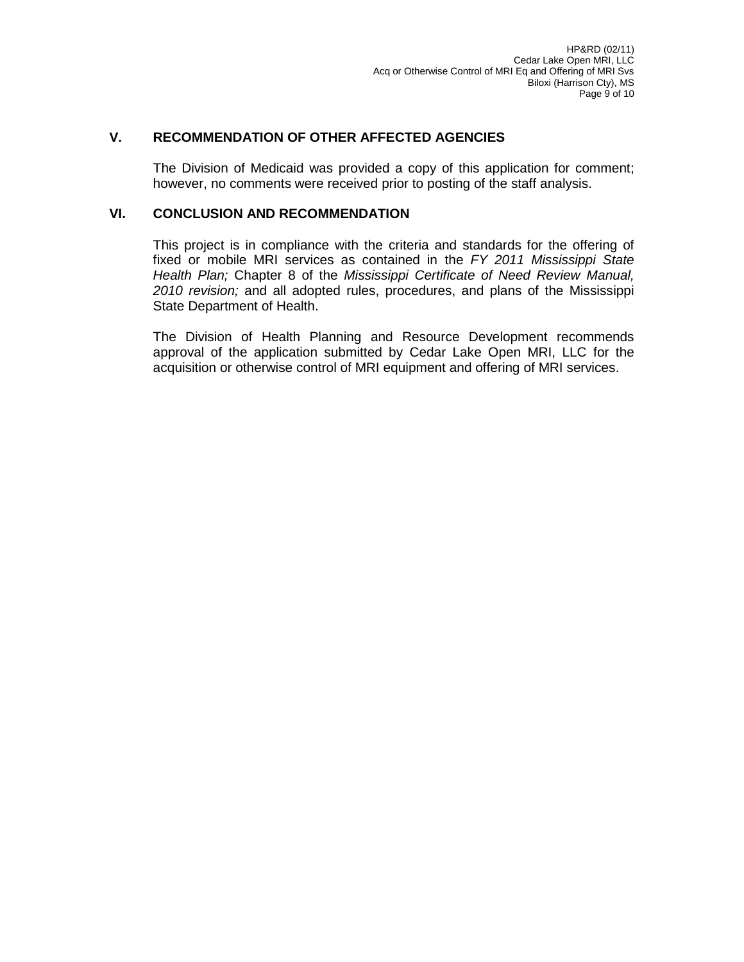# **V. RECOMMENDATION OF OTHER AFFECTED AGENCIES**

The Division of Medicaid was provided a copy of this application for comment; however, no comments were received prior to posting of the staff analysis.

## **VI. CONCLUSION AND RECOMMENDATION**

This project is in compliance with the criteria and standards for the offering of fixed or mobile MRI services as contained in the *FY 2011 Mississippi State Health Plan;* Chapter 8 of the *Mississippi Certificate of Need Review Manual, 2010 revision;* and all adopted rules, procedures, and plans of the Mississippi State Department of Health.

The Division of Health Planning and Resource Development recommends approval of the application submitted by Cedar Lake Open MRI, LLC for the acquisition or otherwise control of MRI equipment and offering of MRI services.